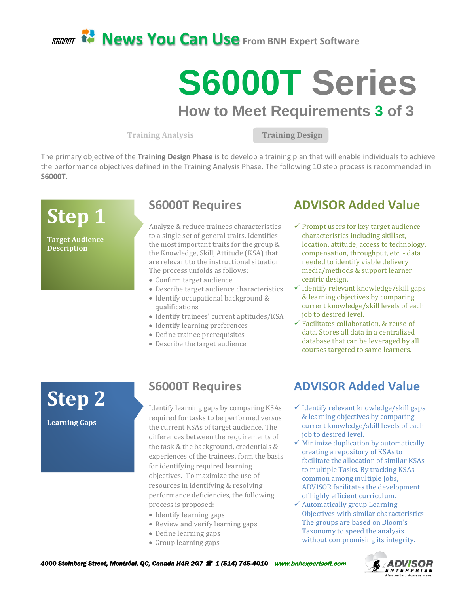

# **S6000T Series How to Meet Requirements 3 of 3**

**Training Analysis Training Design** 

The primary objective of the **Training Design Phase** is to develop a training plan that will enable individuals to achieve the performance objectives defined in the Training Analysis Phase. The following 10 step process is recommended in **S6000T**.

**Step 1**

**Target Audience Description**

#### **S6000T Requires**

Analyze & reduce trainees characteristics to a single set of general traits. Identifies the most important traits for the group & the Knowledge, Skill, Attitude (KSA) that are relevant to the instructional situation. The process unfolds as follows:

- Confirm target audience
- Describe target audience characteristics
- Identify occupational background & qualifications
- Identify trainees' current aptitudes/KSA
- Identify learning preferences
- Define trainee prerequisites
- Describe the target audience

#### **ADVISOR Added Value**

- $\checkmark$  Prompt users for key target audience characteristics including skillset, location, attitude, access to technology, compensation, throughput, etc. - data needed to identify viable delivery media/methods & support learner centric design.
- $\checkmark$  Identify relevant knowledge/skill gaps & learning objectives by comparing current knowledge/skill levels of each job to desired level.
- ✓ Facilitates collaboration, & reuse of data. Stores all data in a centralized database that can be leveraged by all courses targeted to same learners.

**Step 2**

**Learning Gaps**

#### **S6000T Requires**

Identify learning gaps by comparing KSAs required for tasks to be performed versus the current KSAs of target audience. The differences between the requirements of the task & the background, credentials & experiences of the trainees, form the basis for identifying required learning objectives. To maximize the use of resources in identifying & resolving performance deficiencies, the following process is proposed:

- Identify learning gaps
- Review and verify learning gaps
- Define learning gaps
- Group learning gaps

#### **ADVISOR Added Value**

- $\checkmark$  Identify relevant knowledge/skill gaps & learning objectives by comparing current knowledge/skill levels of each job to desired level.
- $\checkmark$  Minimize duplication by automatically creating a repository of KSAs to facilitate the allocation of similar KSAs to multiple Tasks. By tracking KSAs common among multiple Jobs, ADVISOR facilitates the development of highly efficient curriculum.
- $\checkmark$  Automatically group Learning Objectives with similar characteristics. The groups are based on Bloom's Taxonomy to speed the analysis without compromising its integrity.



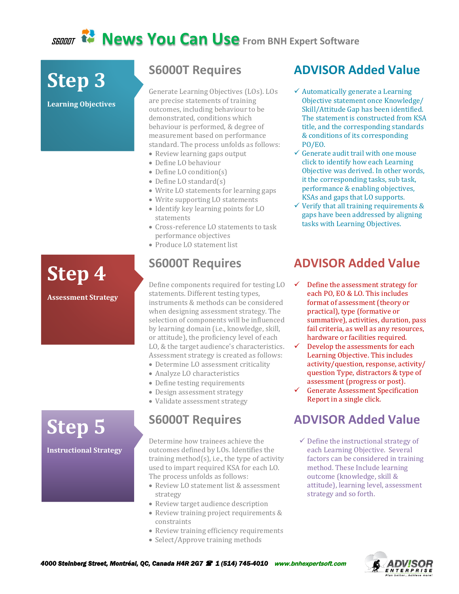## *SEDOOT* $\mathbb{R}^3$  **News You Can Use From BNH Expert Software**

# **Step 3**

**Learning Objectives**

#### **S6000T Requires**

Generate Learning Objectives (LOs). LOs are precise statements of training outcomes, including behaviour to be demonstrated, conditions which behaviour is performed, & degree of measurement based on performance standard. The process unfolds as follows:

- Review learning gaps output
- Define LO behaviour
- Define LO condition(s)
- Define LO standard(s)
- Write LO statements for learning gaps
- Write supporting LO statements
- Identify key learning points for LO statements
- Cross-reference LO statements to task performance objectives
- Produce LO statement list

### **S6000T Requires**

Define components required for testing LO statements. Different testing types, instruments & methods can be considered when designing assessment strategy. The selection of components will be influenced by learning domain (i.e., knowledge, skill, or attitude), the proficiency level of each LO, & the target audience's characteristics. Assessment strategy is created as follows:

- Determine LO assessment criticality
- Analyze LO characteristics
- Define testing requirements
- Design assessment strategy
- Validate assessment strategy

### **S6000T Requires**

Determine how trainees achieve the outcomes defined by LOs. Identifies the training method(s), i.e., the type of activity used to impart required KSA for each LO. The process unfolds as follows:

- Review LO statement list & assessment strategy
- Review target audience description
- Review training project requirements & constraints
- Review training efficiency requirements
- Select/Approve training methods

### **ADVISOR Added Value**

- $\checkmark$  Automatically generate a Learning Objective statement once Knowledge/ Skill/Attitude Gap has been identified. The statement is constructed from KSA title, and the corresponding standards & conditions of its corresponding PO/EO.
- $\checkmark$  Generate audit trail with one mouse click to identify how each Learning Objective was derived. In other words, it the corresponding tasks, sub task, performance & enabling objectives, KSAs and gaps that LO supports.
- $\checkmark$  Verify that all training requirements & gaps have been addressed by aligning tasks with Learning Objectives.

### **ADVISOR Added Value**

- $\checkmark$  Define the assessment strategy for each PO, EO & LO. This includes format of assessment (theory or practical), type (formative or summative), activities, duration, pass fail criteria, as well as any resources, hardware or facilities required.
- $\checkmark$  Develop the assessments for each Learning Objective. This includes activity/question, response, activity/ question Type, distractors & type of assessment (progress or post).
- Generate Assessment Specification Report in a single click.

### **ADVISOR Added Value**

 $\checkmark$  Define the instructional strategy of each Learning Objective. Several factors can be considered in training method. These Include learning outcome (knowledge, skill & attitude), learning level, assessment strategy and so forth.



# **Step 4**

**Assessment Strategy**

**Step 5**

**Instructional Strategy**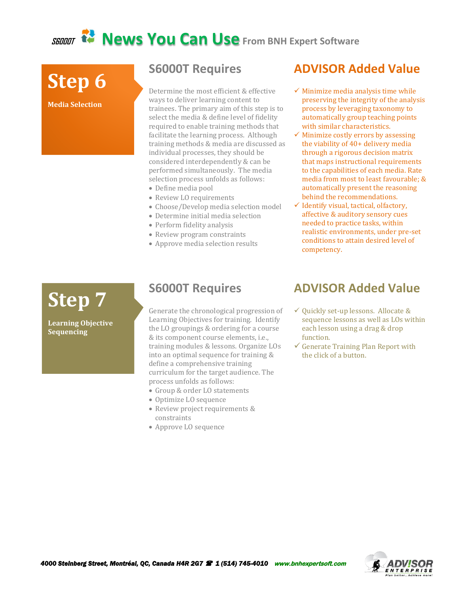## *SEDOOT* $\mathbb{R}^3$  **News You Can Use From BNH Expert Software**

# **Step 6**

**Media Selection**

#### **S6000T Requires**

Determine the most efficient & effective ways to deliver learning content to trainees. The primary aim of this step is to select the media & define level of fidelity required to enable training methods that facilitate the learning process. Although training methods & media are discussed as individual processes, they should be considered interdependently & can be performed simultaneously. The media selection process unfolds as follows:

- Define media pool
- Review LO requirements
- Choose/Develop media selection model
- Determine initial media selection
- Perform fidelity analysis
- Review program constraints
- Approve media selection results

#### **ADVISOR Added Value**

- $\checkmark$  Minimize media analysis time while preserving the integrity of the analysis process by leveraging taxonomy to automatically group teaching points with similar characteristics.
- $\checkmark$  Minimize costly errors by assessing the viability of 40+ delivery media through a rigorous decision matrix that maps instructional requirements to the capabilities of each media. Rate media from most to least favourable; & automatically present the reasoning behind the recommendations.
- $\checkmark$  Identify visual, tactical, olfactory, affective & auditory sensory cues needed to practice tasks, within realistic environments, under pre-set conditions to attain desired level of competency.

# **Step 7**

**Learning Objective Sequencing**

#### **S6000T Requires**

Generate the chronological progression of Learning Objectives for training. Identify the LO groupings & ordering for a course & its component course elements, i.e., training modules & lessons. Organize LOs into an optimal sequence for training & define a comprehensive training curriculum for the target audience. The process unfolds as follows:

- Group & order LO statements
- Optimize LO sequence
- Review project requirements & constraints
- Approve LO sequence

#### **ADVISOR Added Value**

- $\checkmark$  Quickly set-up lessons. Allocate & sequence lessons as well as LOs within each lesson using a drag & drop function.
- $\checkmark$  Generate Training Plan Report with the click of a button.

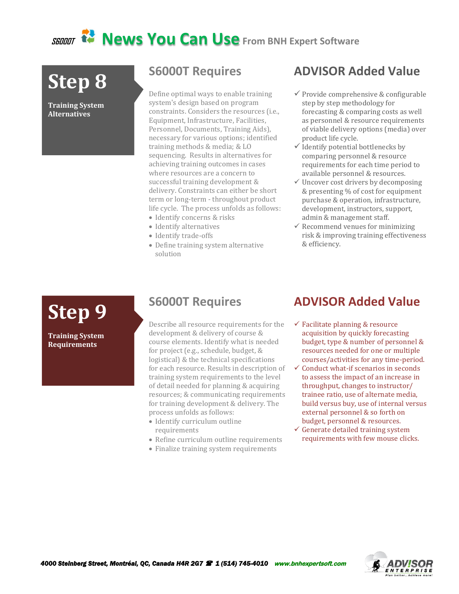## *SEDOOT* $\mathbb{R}^3$  **News You Can Use From BNH Expert Software**

# **Step 8**

**Training System Alternatives**

#### **S6000T Requires**

Define optimal ways to enable training system's design based on program constraints. Considers the resources (i.e., Equipment, Infrastructure, Facilities, Personnel, Documents, Training Aids), necessary for various options; identified training methods & media; & LO sequencing. Results in alternatives for achieving training outcomes in cases where resources are a concern to successful training development & delivery. Constraints can either be short term or long-term - throughout product life cycle. The process unfolds as follows:

- Identify concerns & risks
- Identify alternatives
- Identify trade-offs
- Define training system alternative solution

### **ADVISOR Added Value**

- $\checkmark$  Provide comprehensive & configurable step by step methodology for forecasting & comparing costs as well as personnel & resource requirements of viable delivery options (media) over product life cycle.
- $\checkmark$  Identify potential bottlenecks by comparing personnel & resource requirements for each time period to available personnel & resources.
- $\checkmark$  Uncover cost drivers by decomposing & presenting % of cost for equipment purchase & operation, infrastructure, development, instructors, support, admin & management staff.
- $\checkmark$  Recommend venues for minimizing risk & improving training effectiveness & efficiency.

## **Step 9**

**Training System Requirements**

#### **S6000T Requires**

Describe all resource requirements for the development & delivery of course & course elements. Identify what is needed for project (e.g., schedule, budget, & logistical) & the technical specifications for each resource. Results in description of training system requirements to the level of detail needed for planning & acquiring resources; & communicating requirements for training development & delivery. The process unfolds as follows:

- Identify curriculum outline requirements
- Refine curriculum outline requirements
- Finalize training system requirements

#### **ADVISOR Added Value**

- $\checkmark$  Facilitate planning & resource acquisition by quickly forecasting budget, type & number of personnel & resources needed for one or multiple courses/activities for any time-period.
- $\checkmark$  Conduct what-if scenarios in seconds to assess the impact of an increase in throughput, changes to instructor/ trainee ratio, use of alternate media, build versus buy, use of internal versus external personnel & so forth on budget, personnel & resources.
- $\checkmark$  Generate detailed training system requirements with few mouse clicks.

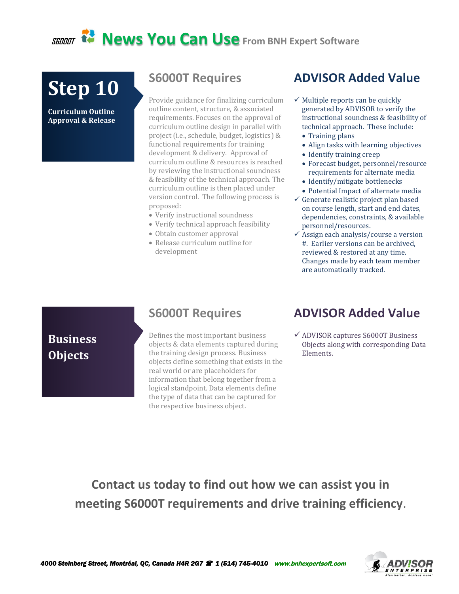## *SEDDOT* $\mathbb{R}^3$  **News You Can Use From BNH Expert Software**

# **Step 10**

**Curriculum Outline Approval & Release**

#### **S6000T Requires**

Provide guidance for finalizing curriculum outline content, structure, & associated requirements. Focuses on the approval of curriculum outline design in parallel with project (i.e., schedule, budget, logistics) & functional requirements for training development & delivery. Approval of curriculum outline & resources is reached by reviewing the instructional soundness & feasibility of the technical approach. The curriculum outline is then placed under version control. The following process is proposed:

- Verify instructional soundness
- Verify technical approach feasibility
- Obtain customer approval
- Release curriculum outline for development

#### **ADVISOR Added Value**

- $\checkmark$  Multiple reports can be quickly generated by ADVISOR to verify the instructional soundness & feasibility of technical approach. These include:
	- Training plans
	- Align tasks with learning objectives
	- Identify training creep
	- Forecast budget, personnel/resource requirements for alternate media
	- Identify/mitigate bottlenecks
	- Potential Impact of alternate media
- $\checkmark$  Generate realistic project plan based on course length, start and end dates, dependencies, constraints, & available personnel/resources.
- $\checkmark$  Assign each analysis/course a version #. Earlier versions can be archived, reviewed & restored at any time. Changes made by each team member are automatically tracked.

#### **Business Objects**

#### **S6000T Requires**

Defines the most important business objects & data elements captured during the training design process. Business objects define something that exists in the real world or are placeholders for information that belong together from a logical standpoint. Data elements define the type of data that can be captured for the respective business object.

#### **ADVISOR Added Value**

 $\checkmark$  ADVISOR captures S6000T Business Objects along with corresponding Data Elements.

**Contact us today to find out how we can assist you in meeting S6000T requirements and drive training efficiency**.